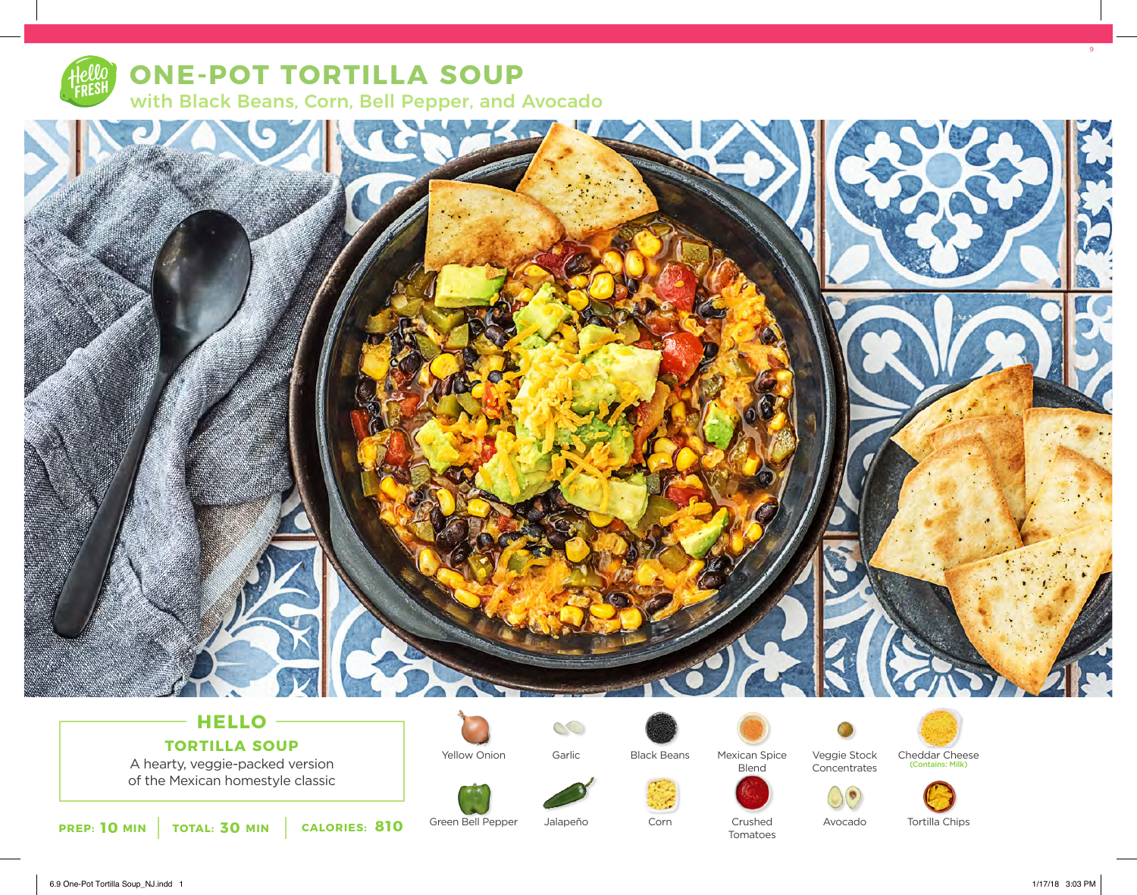

## **ONE-POT TORTILLA SOUP** with Black Beans, Corn, Bell Pepper, and Avocado



# **TORTILLA SOUP**

A hearty, veggie-packed version of the Mexican homestyle classic



Green Bell Pepper

Yellow Onion



Jalapeño



Corn

Mexican Spice



Crushed Tomatoes



Veggie Stock Concentrates Cheddar Cheese (Contains: Milk)

Avocado



Tortilla Chips

6.9 One-Pot Tortilla Soup\_NJ.indd 1 1/17/18 3:03 PM

9